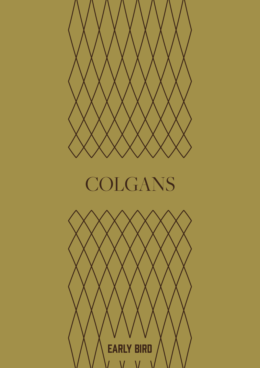

## COLGANS